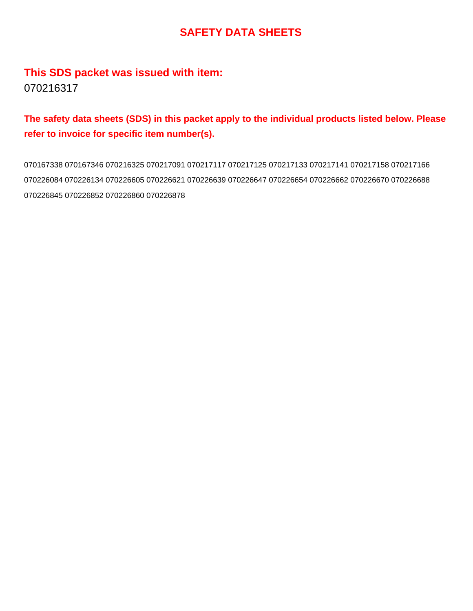# **SAFETY DATA SHEETS**

# **This SDS packet was issued with item:** 070216317

# **The safety data sheets (SDS) in this packet apply to the individual products listed below. Please refer to invoice for specific item number(s).**

070167338 070167346 070216325 070217091 070217117 070217125 070217133 070217141 070217158 070217166 070226084 070226134 070226605 070226621 070226639 070226647 070226654 070226662 070226670 070226688 070226845 070226852 070226860 070226878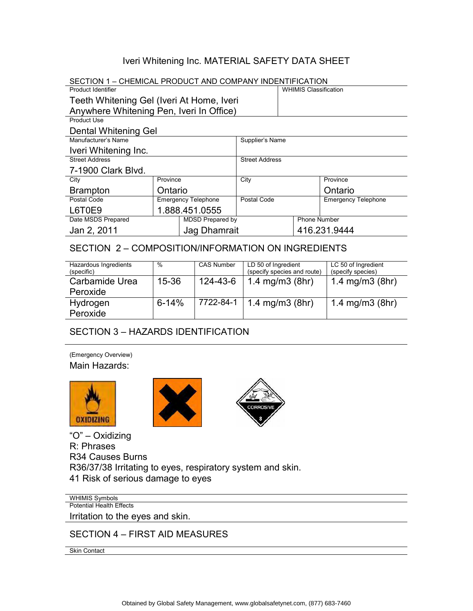## Iveri Whitening Inc. MATERIAL SAFETY DATA SHEET

| SECTION 1 – CHEMICAL PRODUCT AND COMPANY INDENTIFICATION |                            |                       |                              |  |                     |                            |
|----------------------------------------------------------|----------------------------|-----------------------|------------------------------|--|---------------------|----------------------------|
| <b>Product Identifier</b>                                |                            |                       | <b>WHIMIS Classification</b> |  |                     |                            |
| Teeth Whitening Gel (Iveri At Home, Iveri                |                            |                       |                              |  |                     |                            |
| Anywhere Whitening Pen, Iveri In Office)                 |                            |                       |                              |  |                     |                            |
| Product Use                                              |                            |                       |                              |  |                     |                            |
| Dental Whitening Gel                                     |                            |                       |                              |  |                     |                            |
| Manufacturer's Name                                      |                            |                       | Supplier's Name              |  |                     |                            |
| Iveri Whitening Inc.                                     |                            |                       |                              |  |                     |                            |
| <b>Street Address</b>                                    |                            | <b>Street Address</b> |                              |  |                     |                            |
| 7-1900 Clark Blvd.                                       |                            |                       |                              |  |                     |                            |
| City                                                     | Province                   |                       | City                         |  |                     | Province                   |
| <b>Brampton</b>                                          | Ontario                    |                       |                              |  |                     | Ontario                    |
| Postal Code                                              | <b>Emergency Telephone</b> |                       | Postal Code                  |  |                     | <b>Emergency Telephone</b> |
| L6T0E9                                                   | 1.888.451.0555             |                       |                              |  |                     |                            |
| Date MSDS Prepared                                       |                            | MDSD Prepared by      |                              |  | <b>Phone Number</b> |                            |
| Jan 2, 2011<br>Jag Dhamrait                              |                            |                       | 416.231.9444                 |  |                     |                            |

### SECTION 2 – COMPOSITION/INFORMATION ON INGREDIENTS

| Hazardous Ingredients<br>(specific) | $\frac{0}{0}$ | <b>CAS Number</b> | LD 50 of Ingredient<br>(specify species and route) | LC 50 of Ingredient<br>(specify species) |
|-------------------------------------|---------------|-------------------|----------------------------------------------------|------------------------------------------|
| Carbamide Urea<br>Peroxide          | $15 - 36$     | 124-43-6          | 1.4 mg/m $3$ (8hr)                                 | 1.4 mg/m $3$ (8hr)                       |
| Hydrogen<br>Peroxide                | $6 - 14%$     | 7722-84-1         | 1.4 mg/m $3$ (8hr)                                 | 1.4 mg/m $3$ (8hr)                       |

## SECTION 3 – HAZARDS IDENTIFICATION

(Emergency Overview) Main Hazards:







"O" – Oxidizing R: Phrases R34 Causes Burns R36/37/38 Irritating to eyes, respiratory system and skin. 41 Risk of serious damage to eyes

WHIMIS Symbols Potential Health Effects Irritation to the eyes and skin.

SECTION 4 – FIRST AID MEASURES

Skin Contact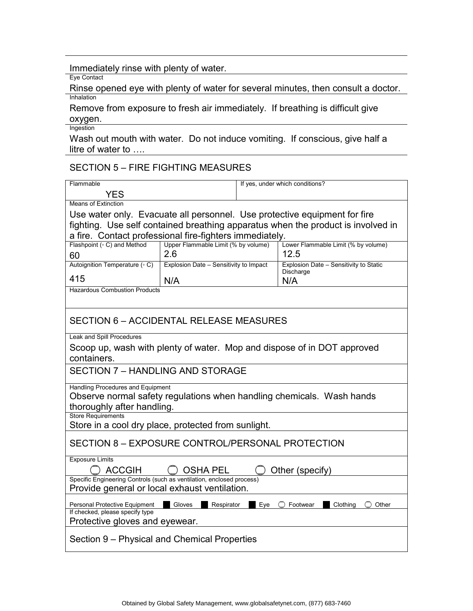#### Immediately rinse with plenty of water.

Eye Contact

Rinse opened eye with plenty of water for several minutes, then consult a doctor. Inhalation

Remove from exposure to fresh air immediately. If breathing is difficult give oxygen.

**Ingestion** 

Wash out mouth with water. Do not induce vomiting. If conscious, give half a litre of water to ….

## SECTION 5 – FIRE FIGHTING MEASURES

| Flammable                                                                              |                                        | If yes, under which conditions? |                                                                                  |  |
|----------------------------------------------------------------------------------------|----------------------------------------|---------------------------------|----------------------------------------------------------------------------------|--|
| YES                                                                                    |                                        |                                 |                                                                                  |  |
| <b>Means of Extinction</b>                                                             |                                        |                                 |                                                                                  |  |
|                                                                                        |                                        |                                 | Use water only. Evacuate all personnel. Use protective equipment for fire        |  |
|                                                                                        |                                        |                                 | fighting. Use self contained breathing apparatus when the product is involved in |  |
| a fire. Contact professional fire-fighters immediately.                                |                                        |                                 |                                                                                  |  |
| Flashpoint ( $\circ$ C) and Method                                                     | Upper Flammable Limit (% by volume)    |                                 | Lower Flammable Limit (% by volume)                                              |  |
| 60                                                                                     | 2.6<br>12.5                            |                                 |                                                                                  |  |
| Autoignition Temperature (° C)                                                         | Explosion Date - Sensitivity to Impact |                                 | Explosion Date - Sensitivity to Static<br>Discharge                              |  |
| 415                                                                                    | N/A                                    |                                 | N/A                                                                              |  |
| <b>Hazardous Combustion Products</b>                                                   |                                        |                                 |                                                                                  |  |
|                                                                                        |                                        |                                 |                                                                                  |  |
|                                                                                        |                                        |                                 |                                                                                  |  |
| <b>SECTION 6 – ACCIDENTAL RELEASE MEASURES</b>                                         |                                        |                                 |                                                                                  |  |
| Leak and Spill Procedures                                                              |                                        |                                 |                                                                                  |  |
|                                                                                        |                                        |                                 |                                                                                  |  |
| Scoop up, wash with plenty of water. Mop and dispose of in DOT approved<br>containers. |                                        |                                 |                                                                                  |  |
|                                                                                        |                                        |                                 |                                                                                  |  |
| SECTION 7 - HANDLING AND STORAGE                                                       |                                        |                                 |                                                                                  |  |
| Handling Procedures and Equipment                                                      |                                        |                                 |                                                                                  |  |
|                                                                                        |                                        |                                 | Observe normal safety regulations when handling chemicals. Wash hands            |  |
| thoroughly after handling.                                                             |                                        |                                 |                                                                                  |  |
| <b>Store Requirements</b>                                                              |                                        |                                 |                                                                                  |  |
| Store in a cool dry place, protected from sunlight.                                    |                                        |                                 |                                                                                  |  |
| SECTION 8 - EXPOSURE CONTROL/PERSONAL PROTECTION                                       |                                        |                                 |                                                                                  |  |
| <b>Exposure Limits</b>                                                                 |                                        |                                 |                                                                                  |  |
| <b>ACCGIH</b><br><b>OSHA PEL</b><br>Other (specify)                                    |                                        |                                 |                                                                                  |  |
| Specific Engineering Controls (such as ventilation, enclosed process)                  |                                        |                                 |                                                                                  |  |
| Provide general or local exhaust ventilation.                                          |                                        |                                 |                                                                                  |  |
| Personal Protective Equipment                                                          | Gloves<br>Respirator                   | Eve                             | Footwear<br>Clothing<br>Other                                                    |  |
| If checked, please specify type                                                        |                                        |                                 |                                                                                  |  |
| Protective gloves and eyewear.                                                         |                                        |                                 |                                                                                  |  |
| Section 9 – Physical and Chemical Properties                                           |                                        |                                 |                                                                                  |  |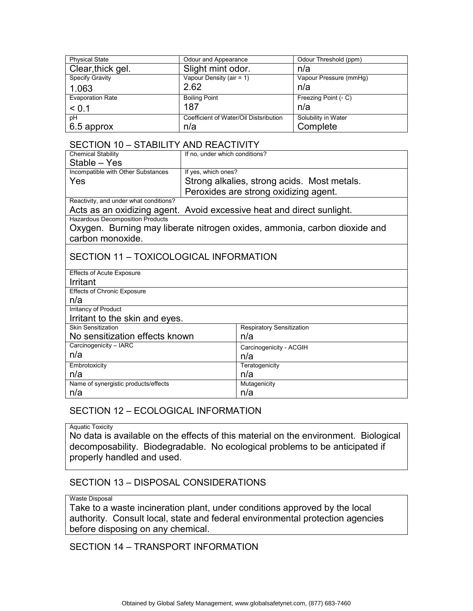| <b>Physical State</b>   | Odour and Appearance                   | Odour Threshold (ppm)       |
|-------------------------|----------------------------------------|-----------------------------|
| Clear, thick gel.       | Slight mint odor.                      | n/a                         |
| <b>Specify Gravity</b>  | Vapour Density (air = 1)               | Vapour Pressure (mmHg)      |
| 1.063                   | 2.62                                   | n/a                         |
| <b>Evaporation Rate</b> | <b>Boiling Point</b>                   | Freezing Point $( \circ C)$ |
| < 0.1                   | 187                                    | n/a                         |
| рH                      | Coefficient of Water/Oil Distsribution | Solubility in Water         |
| 6.5 approx              | n/a                                    | Complete                    |

#### SECTION 10 – STABILITY AND REACTIVITY

| <b>Chemical Stability</b>                                                 | If no, under which conditions?              |  |  |
|---------------------------------------------------------------------------|---------------------------------------------|--|--|
| Stable – Yes                                                              |                                             |  |  |
| Incompatible with Other Substances                                        | If yes, which ones?                         |  |  |
| Yes                                                                       | Strong alkalies, strong acids. Most metals. |  |  |
|                                                                           | Peroxides are strong oxidizing agent.       |  |  |
| Reactivity, and under what conditions?                                    |                                             |  |  |
| Acts as an oxidizing agent. Avoid excessive heat and direct sunlight.     |                                             |  |  |
| <b>Hazardous Decomposition Products</b>                                   |                                             |  |  |
| Oxygen. Burning may liberate nitrogen oxides, ammonia, carbon dioxide and |                                             |  |  |
| carbon monoxide.                                                          |                                             |  |  |
|                                                                           |                                             |  |  |
| SECTION 11 - TOXICOLOGICAL INFORMATION                                    |                                             |  |  |
| <b>Effects of Acute Exposure</b>                                          |                                             |  |  |
| Irritant                                                                  |                                             |  |  |
| <b>Effects of Chronic Exposure</b>                                        |                                             |  |  |
| n/a                                                                       |                                             |  |  |
| <b>Irritancy of Product</b>                                               |                                             |  |  |
| Irritant to the skin and eyes.                                            |                                             |  |  |
| <b>Skin Sensitization</b>                                                 | <b>Respiratory Sensitization</b>            |  |  |
| No sensitization effects known                                            | n/a                                         |  |  |
| Carcinogenicity - IARC                                                    | Carcinogenicity - ACGIH                     |  |  |
| n/a                                                                       | n/a                                         |  |  |
| Embrotoxicity                                                             | Teratogenicity                              |  |  |
| n/a                                                                       | n/a                                         |  |  |
| Name of synergistic products/effects                                      | Mutagenicity                                |  |  |
| n/a                                                                       | n/a                                         |  |  |

### SECTION 12 – ECOLOGICAL INFORMATION

Aquatic Toxicity

No data is available on the effects of this material on the environment. Biological decomposability. Biodegradable. No ecological problems to be anticipated if properly handled and used.

#### SECTION 13 – DISPOSAL CONSIDERATIONS

#### Waste Disposal

Take to a waste incineration plant, under conditions approved by the local authority. Consult local, state and federal environmental protection agencies before disposing on any chemical.

#### SECTION 14 – TRANSPORT INFORMATION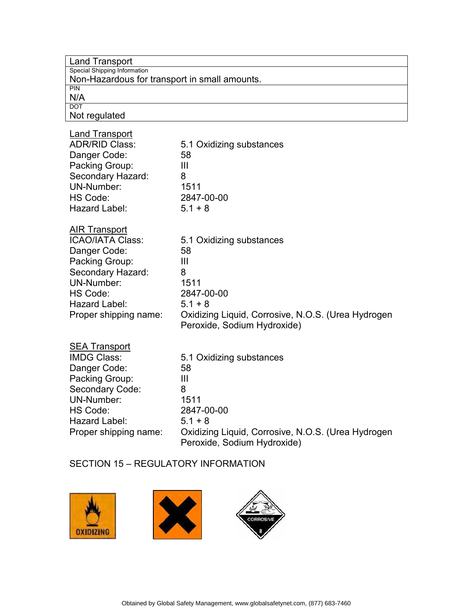| <b>Land Transport</b>                         |                                                    |
|-----------------------------------------------|----------------------------------------------------|
| Special Shipping Information                  |                                                    |
| Non-Hazardous for transport in small amounts. |                                                    |
| PIN                                           |                                                    |
| N/A<br><b>DOT</b>                             |                                                    |
| Not regulated                                 |                                                    |
|                                               |                                                    |
| <b>Land Transport</b>                         |                                                    |
| <b>ADR/RID Class:</b>                         | 5.1 Oxidizing substances                           |
| Danger Code:                                  | 58                                                 |
| Packing Group:                                | $\mathbf{III}$                                     |
| Secondary Hazard:                             | 8                                                  |
| <b>UN-Number:</b>                             | 1511                                               |
| HS Code:                                      | 2847-00-00                                         |
| Hazard Label:                                 | $5.1 + 8$                                          |
|                                               |                                                    |
| <b>AIR Transport</b>                          |                                                    |
| <b>ICAO/IATA Class:</b>                       | 5.1 Oxidizing substances                           |
| Danger Code:                                  | 58                                                 |
| Packing Group:                                | $\mathbf{III}$                                     |
| Secondary Hazard:                             | 8                                                  |
| <b>UN-Number:</b>                             | 1511                                               |
| HS Code:                                      | 2847-00-00                                         |
| Hazard Label:                                 | $5.1 + 8$                                          |
| Proper shipping name:                         | Oxidizing Liquid, Corrosive, N.O.S. (Urea Hydrogen |
|                                               | Peroxide, Sodium Hydroxide)                        |
|                                               |                                                    |
| <b>SEA Transport</b>                          |                                                    |
| <b>IMDG Class:</b>                            | 5.1 Oxidizing substances                           |
| Danger Code:                                  | 58                                                 |
| Packing Group:                                | Ш                                                  |
| Secondary Code:                               | 8                                                  |
| UN-Number:                                    | 1511                                               |
| HS Code:                                      | 2847-00-00                                         |
| Hazard Label:                                 | $5.1 + 8$                                          |
| Proper shipping name:                         | Oxidizing Liquid, Corrosive, N.O.S. (Urea Hydrogen |
|                                               | Peroxide, Sodium Hydroxide)                        |

## SECTION 15 – REGULATORY INFORMATION